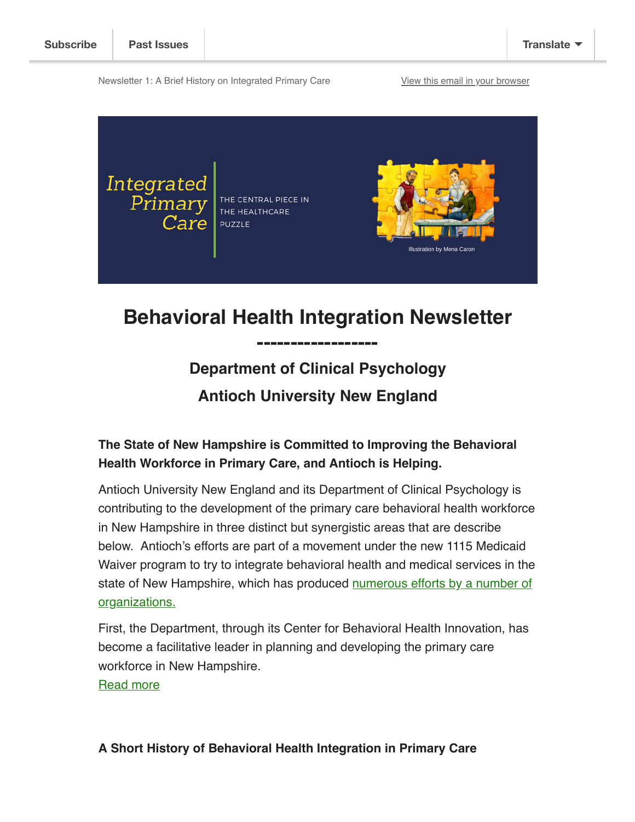Newsletter 1: A Brief History on Integrated Primary Care [View this email in your browser](https://mailchi.mp/16912c8e1871/h?e=148648d69c)



# **Behavioral Health Integration Newsletter**

**------------------**

# **Department of Clinical Psychology Antioch University New England**

## **The State of New Hampshire is Committed to Improving the Behavioral Health Workforce in Primary Care, and Antioch is Helping.**

Antioch University New England and its Department of Clinical Psychology is contributing to the development of the primary care behavioral health workforce in New Hampshire in three distinct but synergistic areas that are describe below. Antioch's efforts are part of a movement under the new 1115 Medicaid Waiver program to try to integrate behavioral health and medical services in the [state of New Hampshire, which has produced numerous efforts by a number of](https://sites.google.com/view/nhpcbhworkforce/wf-efforts-in-nh) organizations.

First, the Department, through its Center for Behavioral Health Innovation, has become a facilitative leader in planning and developing the primary care workforce in New Hampshire.

[Read more](https://sites.google.com/view/integratedprimarycare2/newsletters/oct-17-nl-3)

#### **A Short History of Behavioral Health Integration in Primary Care**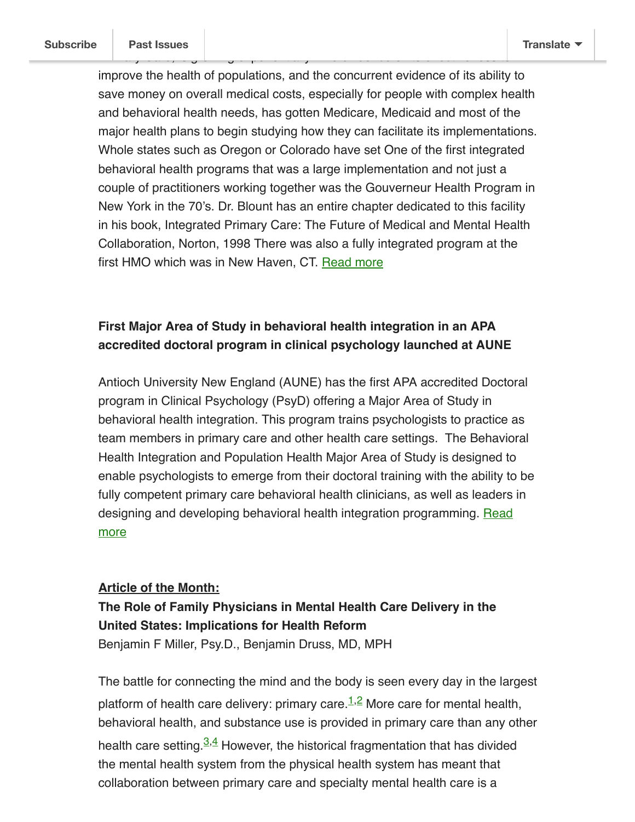improve the health of populations, and the concurrent evidence of its ability to save money on overall medical costs, especially for people with complex health and behavioral health needs, has gotten Medicare, Medicaid and most of the major health plans to begin studying how they can facilitate its implementations. Whole states such as Oregon or Colorado have set One of the first integrated behavioral health programs that was a large implementation and not just a couple of practitioners working together was the Gouverneur Health Program in New York in the 70's. Dr. Blount has an entire chapter dedicated to this facility in his book, Integrated Primary Care: The Future of Medical and Mental Health Collaboration, Norton, 1998 There was also a fully integrated program at the first HMO which was in New Haven, CT. [Read more](https://sites.google.com/view/integratedprimarycare2/newsletters/oct-17-nl-2)

Primary Care, is growing exponentially. The evidence of its effectiveness to

#### **First Major Area of Study in behavioral health integration in an APA accredited doctoral program in clinical psychology launched at AUNE**

Antioch University New England (AUNE) has the first APA accredited Doctoral program in Clinical Psychology (PsyD) offering a Major Area of Study in behavioral health integration. This program trains psychologists to practice as team members in primary care and other health care settings. The Behavioral Health Integration and Population Health Major Area of Study is designed to enable psychologists to emerge from their doctoral training with the ability to be fully competent primary care behavioral health clinicians, as well as leaders in [designing and developing behavioral health integration programming. Read](https://sites.google.com/view/integratedprimarycare2/newsletters/oct-17-nl-1) more

#### **Article of the Month:**

### **The Role of Family Physicians in Mental Health Care Delivery in the United States: Implications for Health Reform**

Benjamin F Miller, Psy.D., Benjamin Druss, MD, MPH

The battle for connecting the mind and the body is seen every day in the largest platform of health care delivery: primary care.<sup>[1](http://www.jabfm.org/content/26/2/111.full#ref-1)[,2](http://www.jabfm.org/content/26/2/111.full#ref-2)</sup> More care for mental health, behavioral health, and substance use is provided in primary care than any other health care setting.<sup>[3](http://www.jabfm.org/content/26/2/111.full#ref-3)[,4](http://www.jabfm.org/content/26/2/111.full#ref-4)</sup> However, the historical fragmentation that has divided the mental health system from the physical health system has meant that collaboration between primary care and specialty mental health care is a